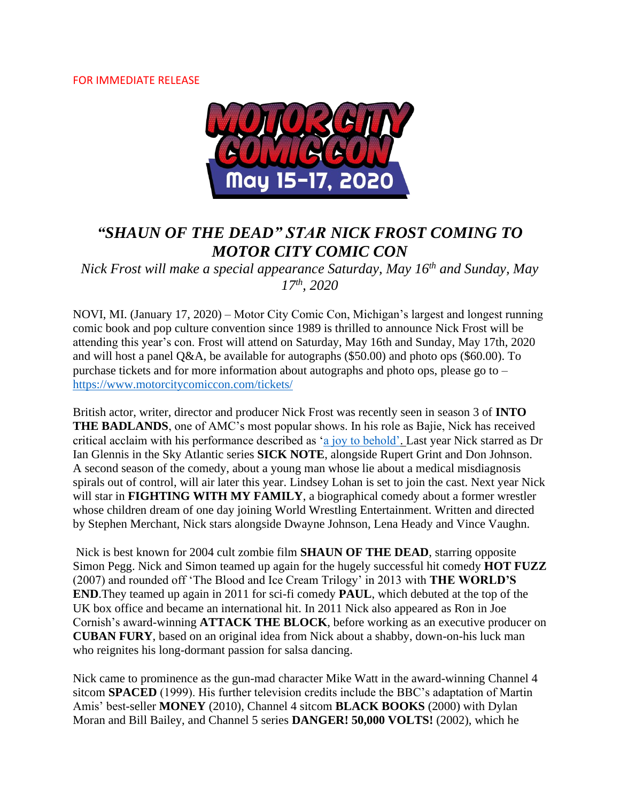### FOR IMMEDIATE RELEASE



# *"SHAUN OF THE DEAD" STAR NICK FROST COMING TO MOTOR CITY COMIC CON*

*Nick Frost will make a special appearance Saturday, May 16th and Sunday, May 17th, 2020*

NOVI, MI. (January 17, 2020) – Motor City Comic Con, Michigan's largest and longest running comic book and pop culture convention since 1989 is thrilled to announce Nick Frost will be attending this year's con. Frost will attend on Saturday, May 16th and Sunday, May 17th, 2020 and will host a panel Q&A, be available for autographs (\$50.00) and photo ops (\$60.00). To purchase tickets and for more information about autographs and photo ops, please go to – <https://www.motorcitycomiccon.com/tickets/>

British actor, writer, director and producer Nick Frost was recently seen in season 3 of **INTO THE BADLANDS**, one of AMC's most popular shows. In his role as Bajie, Nick has received critical acclaim with his performance described as ['a joy to behold'.](https://variety.com/2017/tv/features/into-the-badlands-amc-exclusive-clip-daniel-wu-emily-beecham-five-reasons-terrific-1202433701/) Last year Nick starred as Dr Ian Glennis in the Sky Atlantic series **SICK NOTE**, alongside Rupert Grint and Don Johnson. A second season of the comedy, about a young man whose lie about a medical misdiagnosis spirals out of control, will air later this year. Lindsey Lohan is set to join the cast. Next year Nick will star in **FIGHTING WITH MY FAMILY**, a biographical comedy about a former wrestler whose children dream of one day joining World Wrestling Entertainment. Written and directed by Stephen Merchant, Nick stars alongside Dwayne Johnson, Lena Heady and Vince Vaughn.

Nick is best known for 2004 cult zombie film **SHAUN OF THE DEAD**, starring opposite Simon Pegg. Nick and Simon teamed up again for the hugely successful hit comedy **HOT FUZZ** (2007) and rounded off 'The Blood and Ice Cream Trilogy' in 2013 with **THE WORLD'S END**.They teamed up again in 2011 for sci-fi comedy **PAUL**, which debuted at the top of the UK box office and became an international hit. In 2011 Nick also appeared as Ron in Joe Cornish's award-winning **ATTACK THE BLOCK**, before working as an executive producer on **CUBAN FURY**, based on an original idea from Nick about a shabby, down-on-his luck man who reignites his long-dormant passion for salsa dancing.

Nick came to prominence as the gun-mad character Mike Watt in the award-winning Channel 4 sitcom **SPACED** (1999). His further television credits include the BBC's adaptation of Martin Amis' best-seller **MONEY** (2010), Channel 4 sitcom **BLACK BOOKS** (2000) with Dylan Moran and Bill Bailey, and Channel 5 series **DANGER! 50,000 VOLTS!** (2002), which he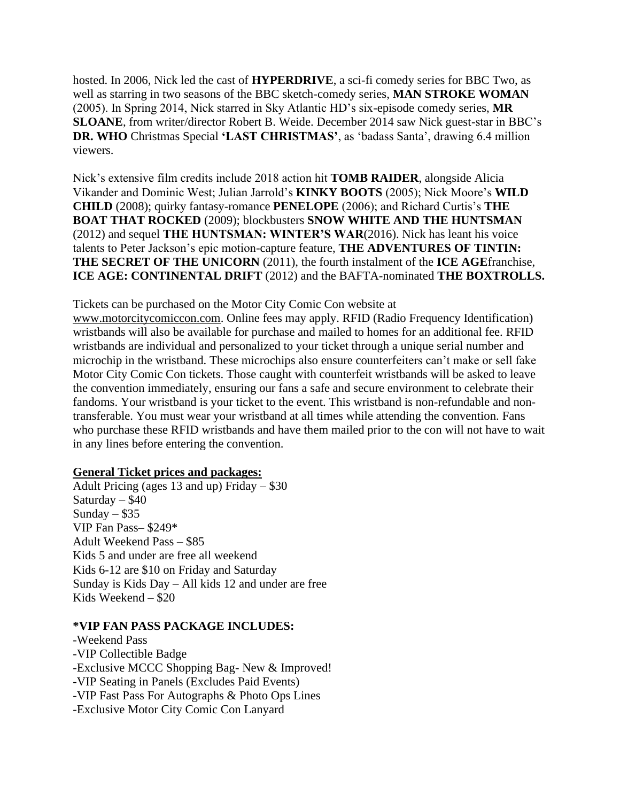hosted. In 2006, Nick led the cast of **HYPERDRIVE**, a sci-fi comedy series for BBC Two, as well as starring in two seasons of the BBC sketch-comedy series, **MAN STROKE WOMAN** (2005). In Spring 2014, Nick starred in Sky Atlantic HD's six-episode comedy series, **MR SLOANE**, from writer/director Robert B. Weide. December 2014 saw Nick guest-star in BBC's **DR. WHO** Christmas Special **'LAST CHRISTMAS'**, as 'badass Santa', drawing 6.4 million viewers.

Nick's extensive film credits include 2018 action hit **TOMB RAIDER**, alongside Alicia Vikander and Dominic West; Julian Jarrold's **KINKY BOOTS** (2005); Nick Moore's **WILD CHILD** (2008); quirky fantasy-romance **PENELOPE** (2006); and Richard Curtis's **THE BOAT THAT ROCKED** (2009); blockbusters **SNOW WHITE AND THE HUNTSMAN** (2012) and sequel **THE HUNTSMAN: WINTER'S WAR**(2016). Nick has leant his voice talents to Peter Jackson's epic motion-capture feature, **THE ADVENTURES OF TINTIN: THE SECRET OF THE UNICORN** (2011), the fourth instalment of the **ICE AGE**franchise, **ICE AGE: CONTINENTAL DRIFT** (2012) and the BAFTA-nominated **THE BOXTROLLS.**

Tickets can be purchased on the Motor City Comic Con website at

[www.motorcitycomiccon.com.](http://www.motorcitycomiccon.com/) Online fees may apply. RFID (Radio Frequency Identification) wristbands will also be available for purchase and mailed to homes for an additional fee. RFID wristbands are individual and personalized to your ticket through a unique serial number and microchip in the wristband. These microchips also ensure counterfeiters can't make or sell fake Motor City Comic Con tickets. Those caught with counterfeit wristbands will be asked to leave the convention immediately, ensuring our fans a safe and secure environment to celebrate their fandoms. Your wristband is your ticket to the event. This wristband is non-refundable and nontransferable. You must wear your wristband at all times while attending the convention. Fans who purchase these RFID wristbands and have them mailed prior to the con will not have to wait in any lines before entering the convention.

## **General Ticket prices and packages:**

Adult Pricing (ages 13 and up) Friday – \$30 Saturday – \$40 Sunday –  $$35$ VIP Fan Pass– \$249\* Adult Weekend Pass – \$85 Kids 5 and under are free all weekend Kids 6-12 are \$10 on Friday and Saturday Sunday is Kids Day – All kids 12 and under are free Kids Weekend – \$20

#### **\*VIP FAN PASS PACKAGE INCLUDES:**

-Weekend Pass -VIP Collectible Badge -Exclusive MCCC Shopping Bag- New & Improved! -VIP Seating in Panels (Excludes Paid Events) -VIP Fast Pass For Autographs & Photo Ops Lines -Exclusive Motor City Comic Con Lanyard